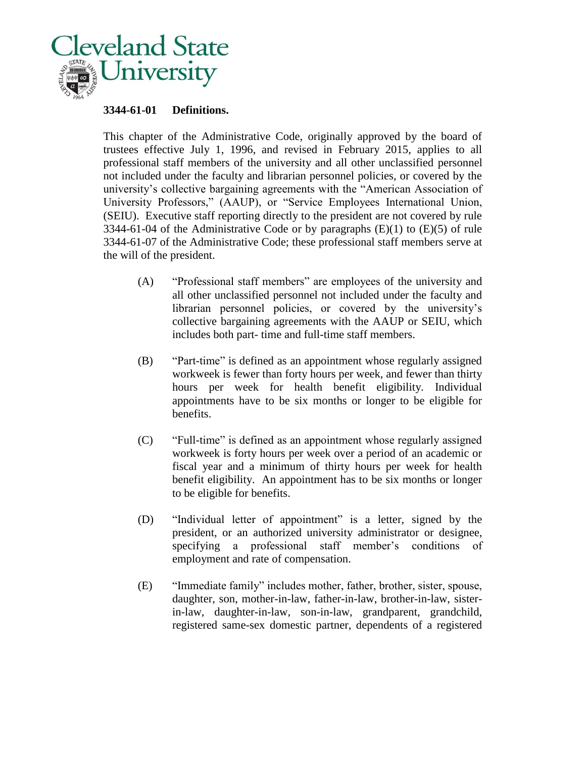

## **3344-61-01 Definitions.**

This chapter of the Administrative Code, originally approved by the board of trustees effective July 1, 1996, and revised in February 2015, applies to all professional staff members of the university and all other unclassified personnel not included under the faculty and librarian personnel policies, or covered by the university's collective bargaining agreements with the "American Association of University Professors," (AAUP), or "Service Employees International Union, (SEIU). Executive staff reporting directly to the president are not covered by rule 3344-61-04 of the Administrative Code or by paragraphs  $(E)(1)$  to  $(E)(5)$  of rule 3344-61-07 of the Administrative Code; these professional staff members serve at the will of the president.

- (A) "Professional staff members" are employees of the university and all other unclassified personnel not included under the faculty and librarian personnel policies, or covered by the university's collective bargaining agreements with the AAUP or SEIU, which includes both part- time and full-time staff members.
- (B) "Part-time" is defined as an appointment whose regularly assigned workweek is fewer than forty hours per week, and fewer than thirty hours per week for health benefit eligibility. Individual appointments have to be six months or longer to be eligible for benefits.
- (C) "Full-time" is defined as an appointment whose regularly assigned workweek is forty hours per week over a period of an academic or fiscal year and a minimum of thirty hours per week for health benefit eligibility. An appointment has to be six months or longer to be eligible for benefits.
- (D) "Individual letter of appointment" is a letter, signed by the president, or an authorized university administrator or designee, specifying a professional staff member's conditions of employment and rate of compensation.
- (E) "Immediate family" includes mother, father, brother, sister, spouse, daughter, son, mother-in-law, father-in-law, brother-in-law, sisterin-law, daughter-in-law, son-in-law, grandparent, grandchild, registered same-sex domestic partner, dependents of a registered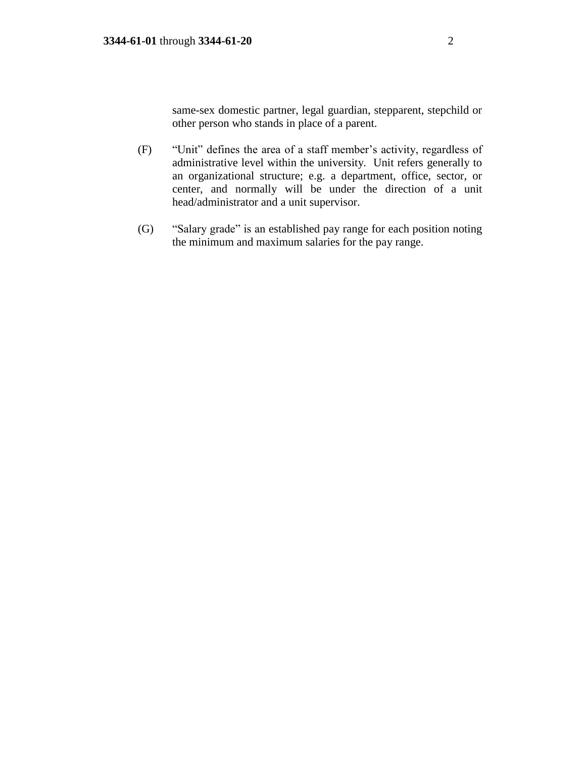same-sex domestic partner, legal guardian, stepparent, stepchild or other person who stands in place of a parent.

- (F) "Unit" defines the area of a staff member's activity, regardless of administrative level within the university. Unit refers generally to an organizational structure; e.g. a department, office, sector, or center, and normally will be under the direction of a unit head/administrator and a unit supervisor.
- (G) "Salary grade" is an established pay range for each position noting the minimum and maximum salaries for the pay range.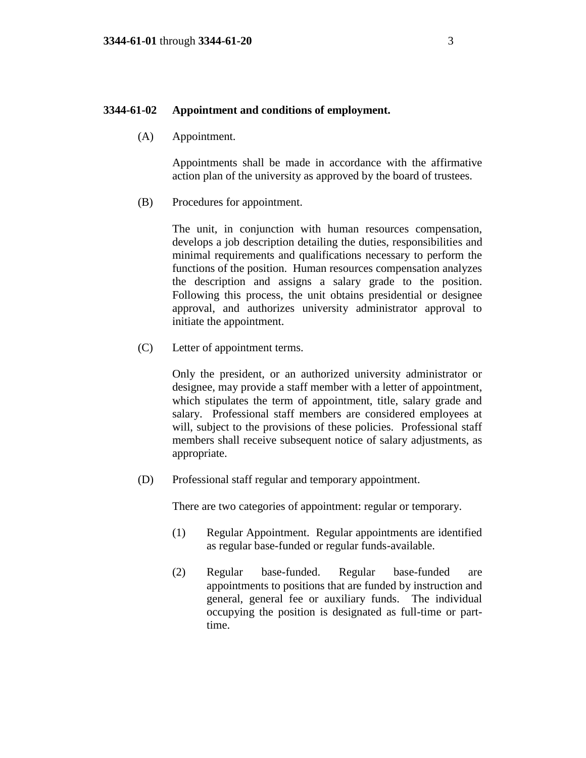#### **3344-61-02 Appointment and conditions of employment.**

(A) Appointment.

Appointments shall be made in accordance with the affirmative action plan of the university as approved by the board of trustees.

(B) Procedures for appointment.

The unit, in conjunction with human resources compensation, develops a job description detailing the duties, responsibilities and minimal requirements and qualifications necessary to perform the functions of the position. Human resources compensation analyzes the description and assigns a salary grade to the position. Following this process, the unit obtains presidential or designee approval, and authorizes university administrator approval to initiate the appointment.

(C) Letter of appointment terms.

Only the president, or an authorized university administrator or designee, may provide a staff member with a letter of appointment, which stipulates the term of appointment, title, salary grade and salary. Professional staff members are considered employees at will, subject to the provisions of these policies. Professional staff members shall receive subsequent notice of salary adjustments, as appropriate.

(D) Professional staff regular and temporary appointment.

There are two categories of appointment: regular or temporary.

- (1) Regular Appointment. Regular appointments are identified as regular base-funded or regular funds-available.
- (2) Regular base-funded. Regular base-funded are appointments to positions that are funded by instruction and general, general fee or auxiliary funds. The individual occupying the position is designated as full-time or parttime.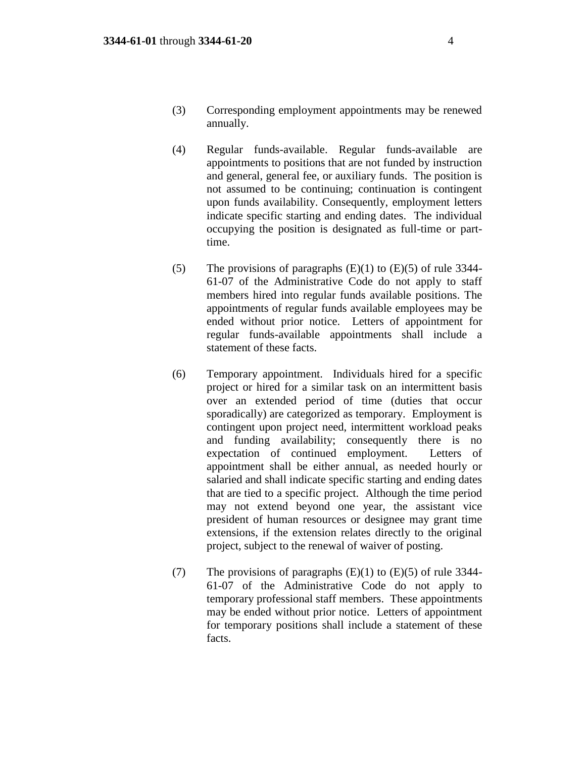- (3) Corresponding employment appointments may be renewed annually.
- (4) Regular funds-available. Regular funds-available are appointments to positions that are not funded by instruction and general, general fee, or auxiliary funds. The position is not assumed to be continuing; continuation is contingent upon funds availability. Consequently, employment letters indicate specific starting and ending dates. The individual occupying the position is designated as full-time or parttime.
- (5) The provisions of paragraphs  $(E)(1)$  to  $(E)(5)$  of rule 3344-61-07 of the Administrative Code do not apply to staff members hired into regular funds available positions. The appointments of regular funds available employees may be ended without prior notice. Letters of appointment for regular funds-available appointments shall include a statement of these facts.
- (6) Temporary appointment. Individuals hired for a specific project or hired for a similar task on an intermittent basis over an extended period of time (duties that occur sporadically) are categorized as temporary. Employment is contingent upon project need, intermittent workload peaks and funding availability; consequently there is no expectation of continued employment. Letters of appointment shall be either annual, as needed hourly or salaried and shall indicate specific starting and ending dates that are tied to a specific project. Although the time period may not extend beyond one year, the assistant vice president of human resources or designee may grant time extensions, if the extension relates directly to the original project, subject to the renewal of waiver of posting.
- (7) The provisions of paragraphs  $(E)(1)$  to  $(E)(5)$  of rule 3344-61-07 of the Administrative Code do not apply to temporary professional staff members. These appointments may be ended without prior notice. Letters of appointment for temporary positions shall include a statement of these facts.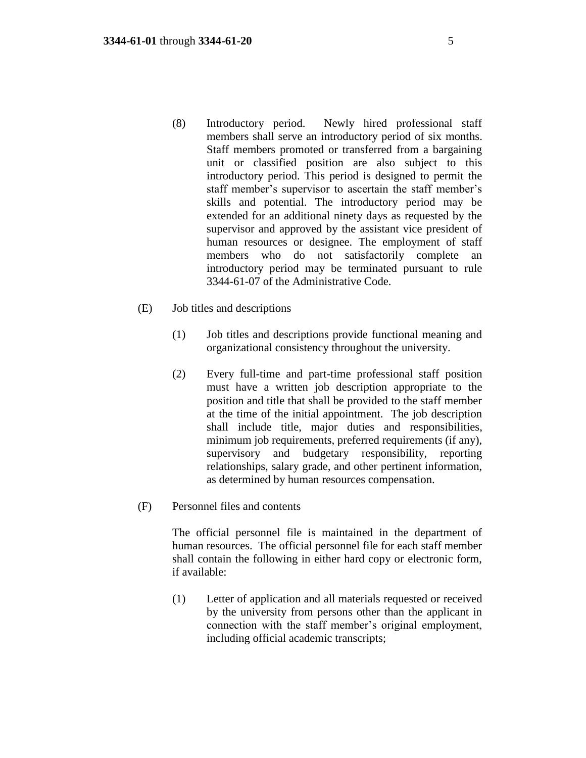- (8) Introductory period. Newly hired professional staff members shall serve an introductory period of six months. Staff members promoted or transferred from a bargaining unit or classified position are also subject to this introductory period. This period is designed to permit the staff member's supervisor to ascertain the staff member's skills and potential. The introductory period may be extended for an additional ninety days as requested by the supervisor and approved by the assistant vice president of human resources or designee. The employment of staff members who do not satisfactorily complete an introductory period may be terminated pursuant to rule 3344-61-07 of the Administrative Code.
- (E) Job titles and descriptions
	- (1) Job titles and descriptions provide functional meaning and organizational consistency throughout the university.
	- (2) Every full-time and part-time professional staff position must have a written job description appropriate to the position and title that shall be provided to the staff member at the time of the initial appointment. The job description shall include title, major duties and responsibilities, minimum job requirements, preferred requirements (if any), supervisory and budgetary responsibility, reporting relationships, salary grade, and other pertinent information, as determined by human resources compensation.
- (F) Personnel files and contents

The official personnel file is maintained in the department of human resources. The official personnel file for each staff member shall contain the following in either hard copy or electronic form, if available:

(1) Letter of application and all materials requested or received by the university from persons other than the applicant in connection with the staff member's original employment, including official academic transcripts;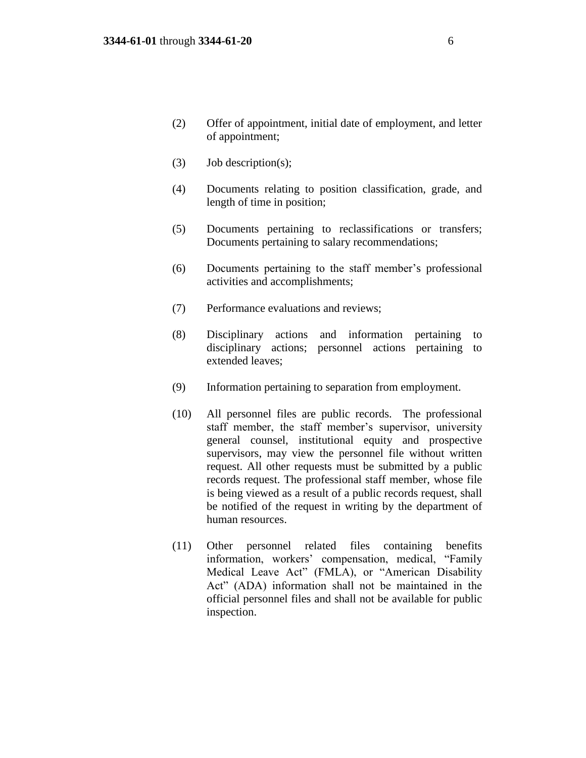- (2) Offer of appointment, initial date of employment, and letter of appointment;
- (3) Job description(s);
- (4) Documents relating to position classification, grade, and length of time in position;
- (5) Documents pertaining to reclassifications or transfers; Documents pertaining to salary recommendations;
- (6) Documents pertaining to the staff member's professional activities and accomplishments;
- (7) Performance evaluations and reviews;
- (8) Disciplinary actions and information pertaining to disciplinary actions; personnel actions pertaining to extended leaves;
- (9) Information pertaining to separation from employment.
- (10) All personnel files are public records. The professional staff member, the staff member's supervisor, university general counsel, institutional equity and prospective supervisors, may view the personnel file without written request. All other requests must be submitted by a public records request. The professional staff member, whose file is being viewed as a result of a public records request, shall be notified of the request in writing by the department of human resources.
- (11) Other personnel related files containing benefits information, workers' compensation, medical, "Family Medical Leave Act" (FMLA), or "American Disability Act" (ADA) information shall not be maintained in the official personnel files and shall not be available for public inspection.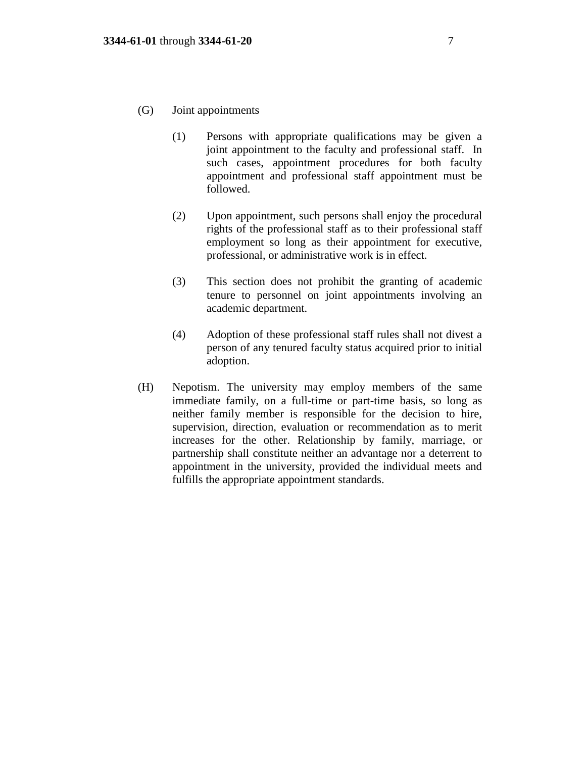- (G) Joint appointments
	- (1) Persons with appropriate qualifications may be given a joint appointment to the faculty and professional staff. In such cases, appointment procedures for both faculty appointment and professional staff appointment must be followed.
	- (2) Upon appointment, such persons shall enjoy the procedural rights of the professional staff as to their professional staff employment so long as their appointment for executive, professional, or administrative work is in effect.
	- (3) This section does not prohibit the granting of academic tenure to personnel on joint appointments involving an academic department.
	- (4) Adoption of these professional staff rules shall not divest a person of any tenured faculty status acquired prior to initial adoption.
- (H) Nepotism. The university may employ members of the same immediate family, on a full-time or part-time basis, so long as neither family member is responsible for the decision to hire, supervision, direction, evaluation or recommendation as to merit increases for the other. Relationship by family, marriage, or partnership shall constitute neither an advantage nor a deterrent to appointment in the university, provided the individual meets and fulfills the appropriate appointment standards.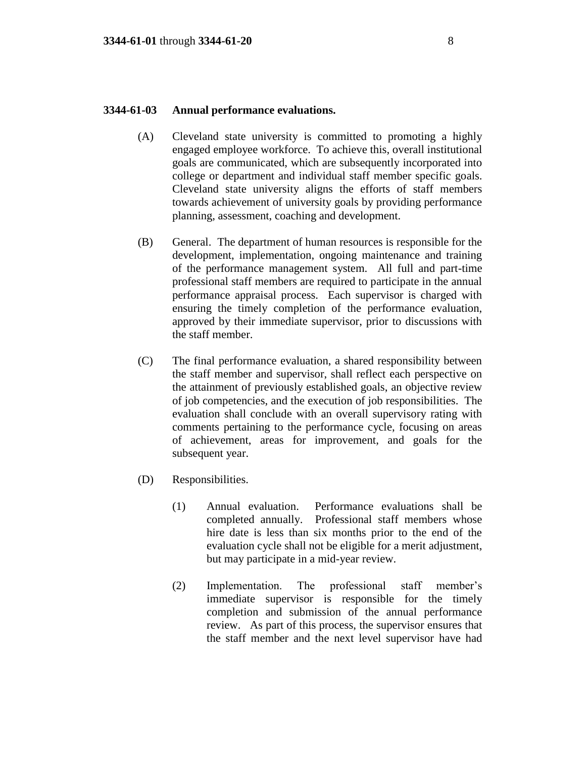#### **3344-61-03 Annual performance evaluations.**

- (A) Cleveland state university is committed to promoting a highly engaged employee workforce. To achieve this, overall institutional goals are communicated, which are subsequently incorporated into college or department and individual staff member specific goals. Cleveland state university aligns the efforts of staff members towards achievement of university goals by providing performance planning, assessment, coaching and development.
- (B) General. The department of human resources is responsible for the development, implementation, ongoing maintenance and training of the performance management system. All full and part-time professional staff members are required to participate in the annual performance appraisal process. Each supervisor is charged with ensuring the timely completion of the performance evaluation, approved by their immediate supervisor, prior to discussions with the staff member.
- (C) The final performance evaluation, a shared responsibility between the staff member and supervisor, shall reflect each perspective on the attainment of previously established goals, an objective review of job competencies, and the execution of job responsibilities. The evaluation shall conclude with an overall supervisory rating with comments pertaining to the performance cycle, focusing on areas of achievement, areas for improvement, and goals for the subsequent year.
- (D) Responsibilities.
	- (1) Annual evaluation. Performance evaluations shall be completed annually. Professional staff members whose hire date is less than six months prior to the end of the evaluation cycle shall not be eligible for a merit adjustment, but may participate in a mid-year review.
	- (2) Implementation. The professional staff member's immediate supervisor is responsible for the timely completion and submission of the annual performance review. As part of this process, the supervisor ensures that the staff member and the next level supervisor have had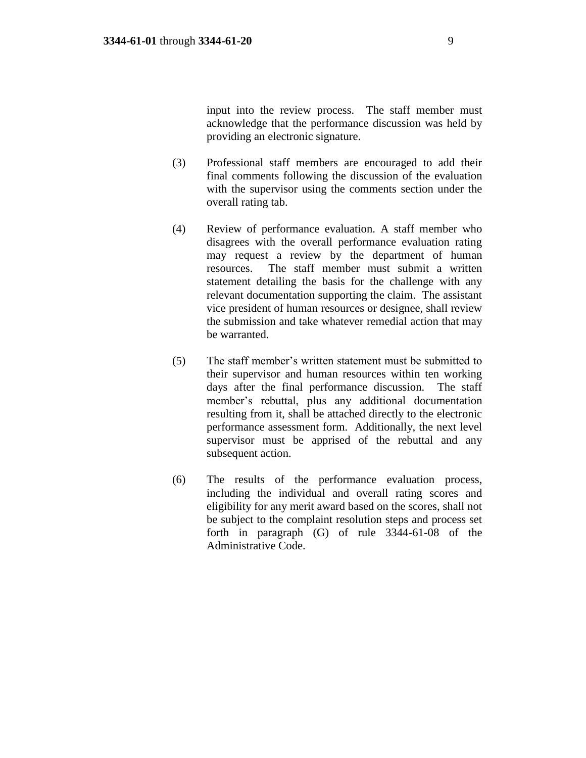input into the review process. The staff member must acknowledge that the performance discussion was held by providing an electronic signature.

- (3) Professional staff members are encouraged to add their final comments following the discussion of the evaluation with the supervisor using the comments section under the overall rating tab.
- (4) Review of performance evaluation. A staff member who disagrees with the overall performance evaluation rating may request a review by the department of human resources. The staff member must submit a written statement detailing the basis for the challenge with any relevant documentation supporting the claim. The assistant vice president of human resources or designee, shall review the submission and take whatever remedial action that may be warranted.
- (5) The staff member's written statement must be submitted to their supervisor and human resources within ten working days after the final performance discussion. The staff member's rebuttal, plus any additional documentation resulting from it, shall be attached directly to the electronic performance assessment form. Additionally, the next level supervisor must be apprised of the rebuttal and any subsequent action.
- (6) The results of the performance evaluation process, including the individual and overall rating scores and eligibility for any merit award based on the scores, shall not be subject to the complaint resolution steps and process set forth in paragraph (G) of rule 3344-61-08 of the Administrative Code.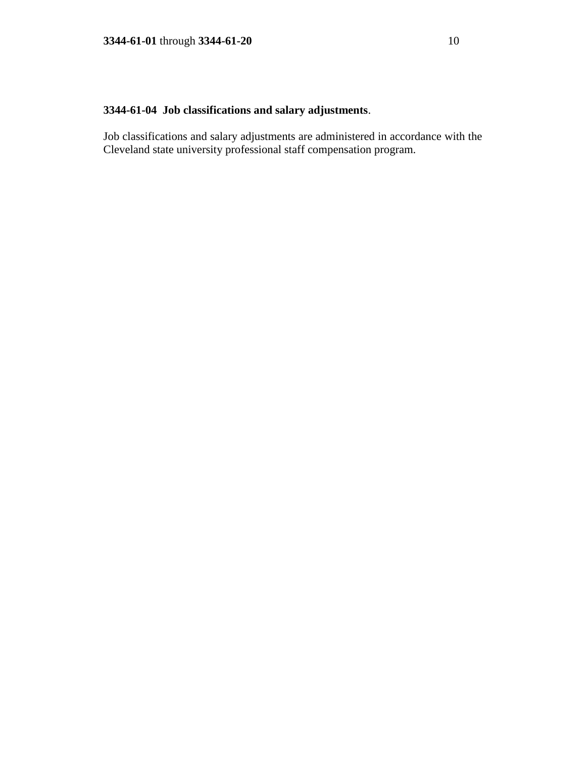# **3344-61-04 Job classifications and salary adjustments**.

Job classifications and salary adjustments are administered in accordance with the Cleveland state university professional staff compensation program.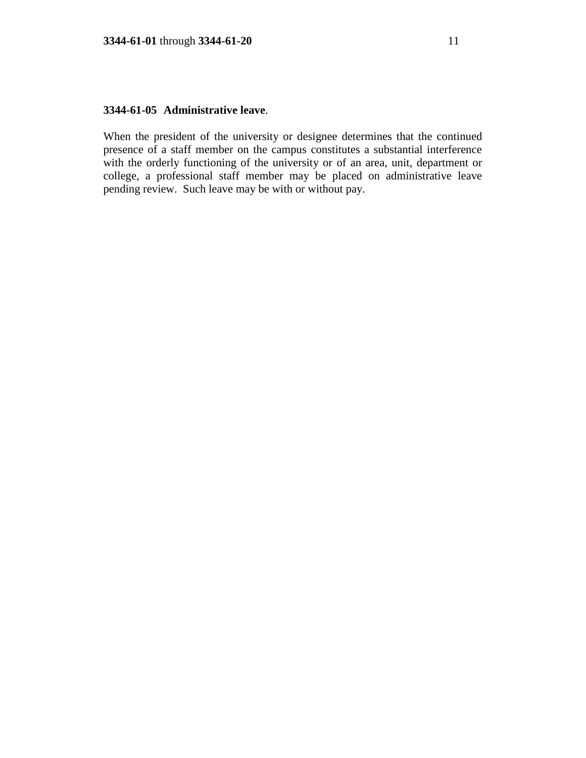## **3344-61-05 Administrative leave**.

When the president of the university or designee determines that the continued presence of a staff member on the campus constitutes a substantial interference with the orderly functioning of the university or of an area, unit, department or college, a professional staff member may be placed on administrative leave pending review. Such leave may be with or without pay.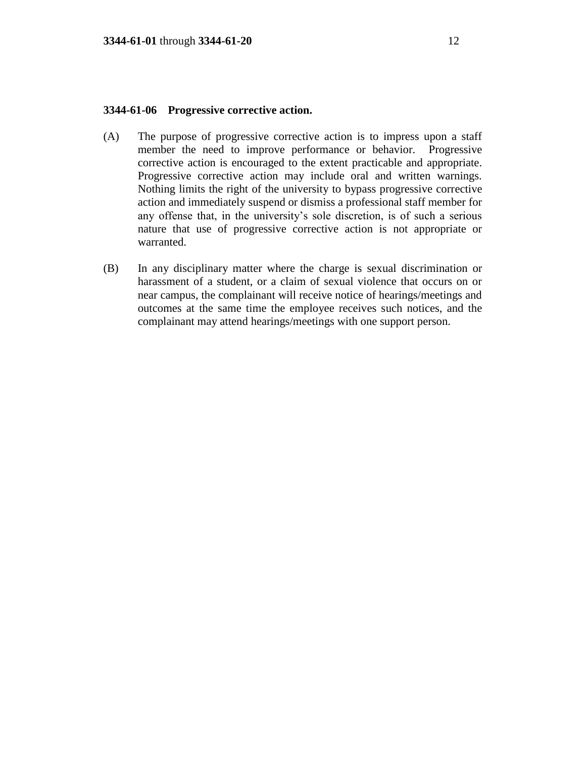## **3344-61-06 Progressive corrective action.**

- (A) The purpose of progressive corrective action is to impress upon a staff member the need to improve performance or behavior. Progressive corrective action is encouraged to the extent practicable and appropriate. Progressive corrective action may include oral and written warnings. Nothing limits the right of the university to bypass progressive corrective action and immediately suspend or dismiss a professional staff member for any offense that, in the university's sole discretion, is of such a serious nature that use of progressive corrective action is not appropriate or warranted.
- (B) In any disciplinary matter where the charge is sexual discrimination or harassment of a student, or a claim of sexual violence that occurs on or near campus, the complainant will receive notice of hearings/meetings and outcomes at the same time the employee receives such notices, and the complainant may attend hearings/meetings with one support person.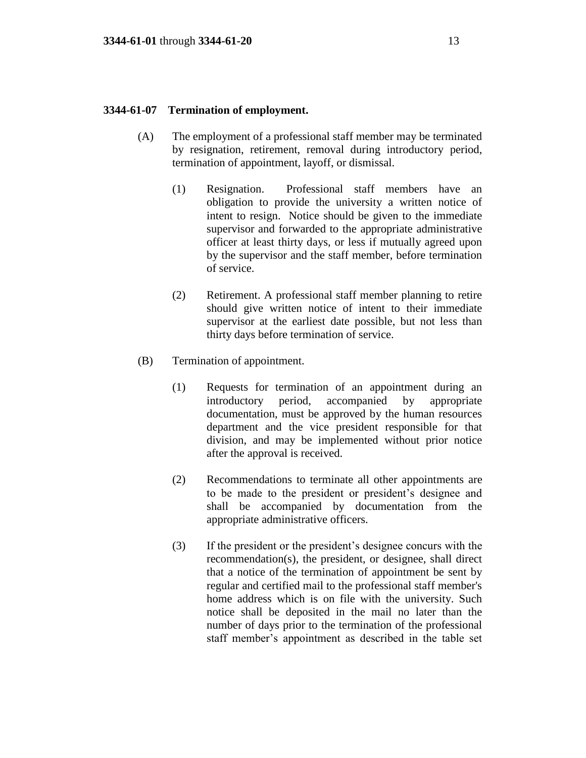### **3344-61-07 Termination of employment.**

- (A) The employment of a professional staff member may be terminated by resignation, retirement, removal during introductory period, termination of appointment, layoff, or dismissal.
	- (1) Resignation. Professional staff members have an obligation to provide the university a written notice of intent to resign. Notice should be given to the immediate supervisor and forwarded to the appropriate administrative officer at least thirty days, or less if mutually agreed upon by the supervisor and the staff member, before termination of service.
	- (2) Retirement. A professional staff member planning to retire should give written notice of intent to their immediate supervisor at the earliest date possible, but not less than thirty days before termination of service.
- (B) Termination of appointment.
	- (1) Requests for termination of an appointment during an introductory period, accompanied by appropriate documentation, must be approved by the human resources department and the vice president responsible for that division, and may be implemented without prior notice after the approval is received.
	- (2) Recommendations to terminate all other appointments are to be made to the president or president's designee and shall be accompanied by documentation from the appropriate administrative officers.
	- (3) If the president or the president's designee concurs with the recommendation(s), the president, or designee, shall direct that a notice of the termination of appointment be sent by regular and certified mail to the professional staff member's home address which is on file with the university. Such notice shall be deposited in the mail no later than the number of days prior to the termination of the professional staff member's appointment as described in the table set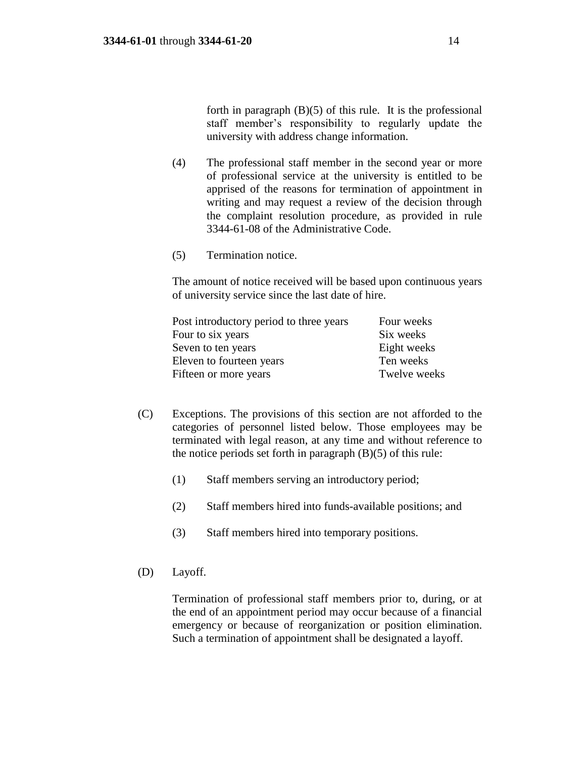forth in paragraph  $(B)(5)$  of this rule. It is the professional staff member's responsibility to regularly update the university with address change information.

- (4) The professional staff member in the second year or more of professional service at the university is entitled to be apprised of the reasons for termination of appointment in writing and may request a review of the decision through the complaint resolution procedure, as provided in rule 3344-61-08 of the Administrative Code.
- (5) Termination notice.

The amount of notice received will be based upon continuous years of university service since the last date of hire.

| Post introductory period to three years | Four weeks   |
|-----------------------------------------|--------------|
| Four to six years                       | Six weeks    |
| Seven to ten years                      | Eight weeks  |
| Eleven to fourteen years                | Ten weeks    |
| Fifteen or more years                   | Twelve weeks |

- (C) Exceptions. The provisions of this section are not afforded to the categories of personnel listed below. Those employees may be terminated with legal reason, at any time and without reference to the notice periods set forth in paragraph  $(B)(5)$  of this rule:
	- (1) Staff members serving an introductory period;
	- (2) Staff members hired into funds-available positions; and
	- (3) Staff members hired into temporary positions.
- (D) Layoff.

Termination of professional staff members prior to, during, or at the end of an appointment period may occur because of a financial emergency or because of reorganization or position elimination. Such a termination of appointment shall be designated a layoff.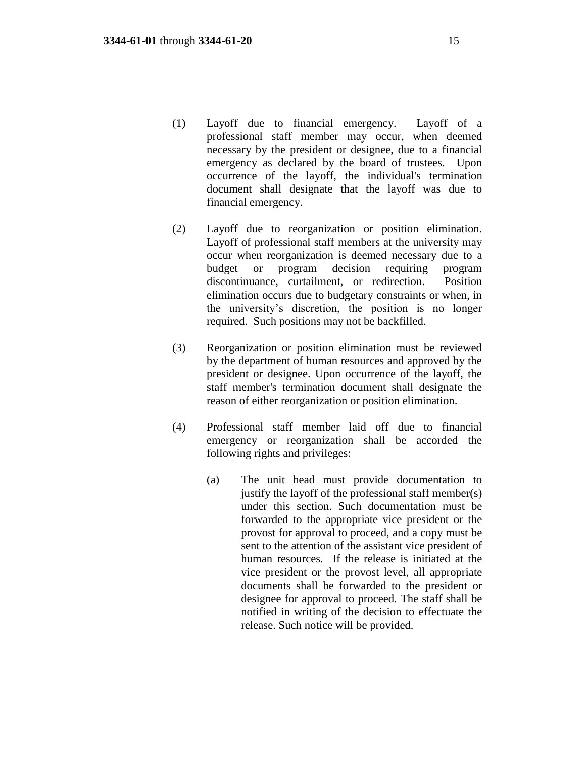- (1) Layoff due to financial emergency. Layoff of a professional staff member may occur, when deemed necessary by the president or designee, due to a financial emergency as declared by the board of trustees. Upon occurrence of the layoff, the individual's termination document shall designate that the layoff was due to financial emergency.
- (2) Layoff due to reorganization or position elimination. Layoff of professional staff members at the university may occur when reorganization is deemed necessary due to a budget or program decision requiring program discontinuance, curtailment, or redirection. Position elimination occurs due to budgetary constraints or when, in the university's discretion, the position is no longer required. Such positions may not be backfilled.
- (3) Reorganization or position elimination must be reviewed by the department of human resources and approved by the president or designee. Upon occurrence of the layoff, the staff member's termination document shall designate the reason of either reorganization or position elimination.
- (4) Professional staff member laid off due to financial emergency or reorganization shall be accorded the following rights and privileges:
	- (a) The unit head must provide documentation to justify the layoff of the professional staff member(s) under this section. Such documentation must be forwarded to the appropriate vice president or the provost for approval to proceed, and a copy must be sent to the attention of the assistant vice president of human resources. If the release is initiated at the vice president or the provost level, all appropriate documents shall be forwarded to the president or designee for approval to proceed. The staff shall be notified in writing of the decision to effectuate the release. Such notice will be provided.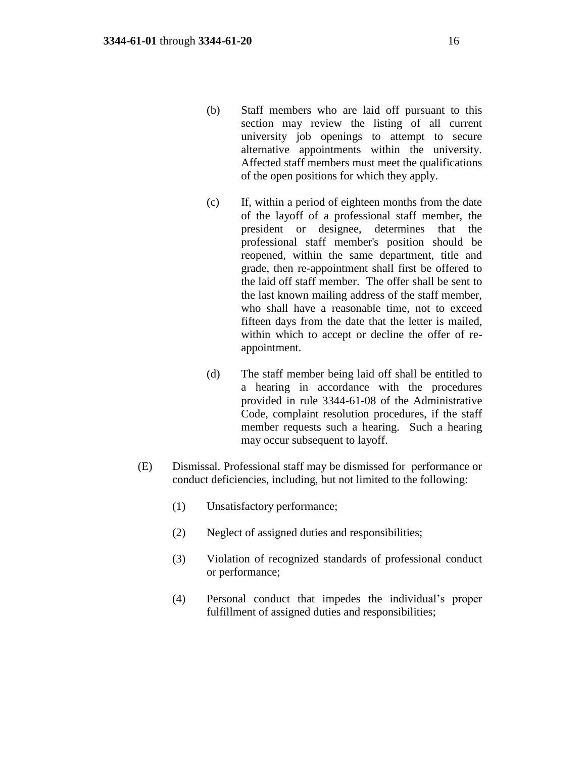- (b) Staff members who are laid off pursuant to this section may review the listing of all current university job openings to attempt to secure alternative appointments within the university. Affected staff members must meet the qualifications of the open positions for which they apply.
- (c) If, within a period of eighteen months from the date of the layoff of a professional staff member, the president or designee, determines that the professional staff member's position should be reopened, within the same department, title and grade, then re-appointment shall first be offered to the laid off staff member. The offer shall be sent to the last known mailing address of the staff member, who shall have a reasonable time, not to exceed fifteen days from the date that the letter is mailed, within which to accept or decline the offer of reappointment.
- (d) The staff member being laid off shall be entitled to a hearing in accordance with the procedures provided in rule 3344-61-08 of the Administrative Code, complaint resolution procedures, if the staff member requests such a hearing. Such a hearing may occur subsequent to layoff.
- (E) Dismissal. Professional staff may be dismissed for performance or conduct deficiencies, including, but not limited to the following:
	- (1) Unsatisfactory performance;
	- (2) Neglect of assigned duties and responsibilities;
	- (3) Violation of recognized standards of professional conduct or performance;
	- (4) Personal conduct that impedes the individual's proper fulfillment of assigned duties and responsibilities;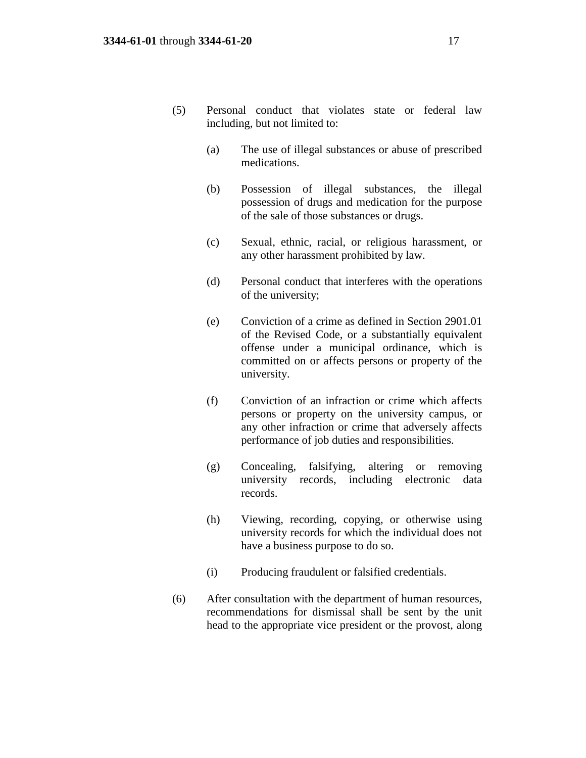- (5) Personal conduct that violates state or federal law including, but not limited to:
	- (a) The use of illegal substances or abuse of prescribed medications.
	- (b) Possession of illegal substances, the illegal possession of drugs and medication for the purpose of the sale of those substances or drugs.
	- (c) Sexual, ethnic, racial, or religious harassment, or any other harassment prohibited by law.
	- (d) Personal conduct that interferes with the operations of the university;
	- (e) Conviction of a crime as defined in Section 2901.01 of the Revised Code, or a substantially equivalent offense under a municipal ordinance, which is committed on or affects persons or property of the university.
	- (f) Conviction of an infraction or crime which affects persons or property on the university campus, or any other infraction or crime that adversely affects performance of job duties and responsibilities.
	- (g) Concealing, falsifying, altering or removing university records, including electronic data records.
	- (h) Viewing, recording, copying, or otherwise using university records for which the individual does not have a business purpose to do so.
	- (i) Producing fraudulent or falsified credentials.
- (6) After consultation with the department of human resources, recommendations for dismissal shall be sent by the unit head to the appropriate vice president or the provost, along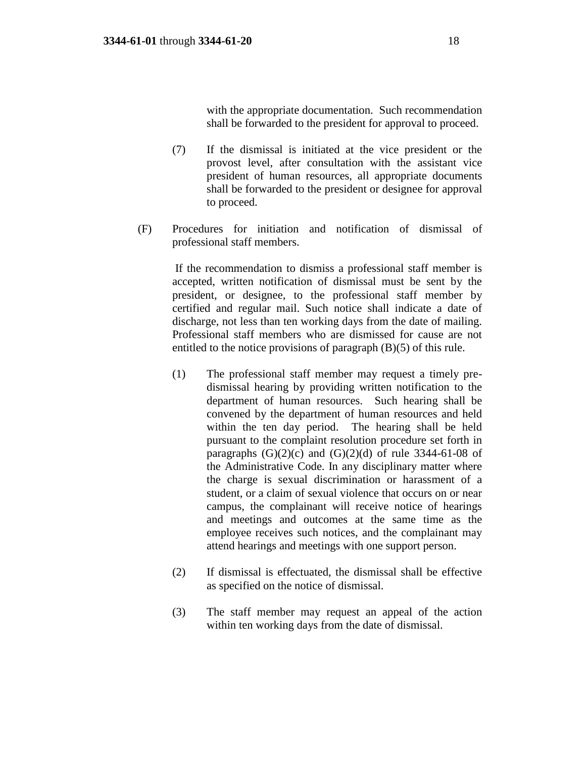with the appropriate documentation. Such recommendation shall be forwarded to the president for approval to proceed.

- (7) If the dismissal is initiated at the vice president or the provost level, after consultation with the assistant vice president of human resources, all appropriate documents shall be forwarded to the president or designee for approval to proceed.
- (F) Procedures for initiation and notification of dismissal of professional staff members.

If the recommendation to dismiss a professional staff member is accepted, written notification of dismissal must be sent by the president, or designee, to the professional staff member by certified and regular mail. Such notice shall indicate a date of discharge, not less than ten working days from the date of mailing. Professional staff members who are dismissed for cause are not entitled to the notice provisions of paragraph (B)(5) of this rule.

- (1) The professional staff member may request a timely predismissal hearing by providing written notification to the department of human resources. Such hearing shall be convened by the department of human resources and held within the ten day period. The hearing shall be held pursuant to the complaint resolution procedure set forth in paragraphs  $(G)(2)(c)$  and  $(G)(2)(d)$  of rule 3344-61-08 of the Administrative Code. In any disciplinary matter where the charge is sexual discrimination or harassment of a student, or a claim of sexual violence that occurs on or near campus, the complainant will receive notice of hearings and meetings and outcomes at the same time as the employee receives such notices, and the complainant may attend hearings and meetings with one support person.
- (2) If dismissal is effectuated, the dismissal shall be effective as specified on the notice of dismissal.
- (3) The staff member may request an appeal of the action within ten working days from the date of dismissal.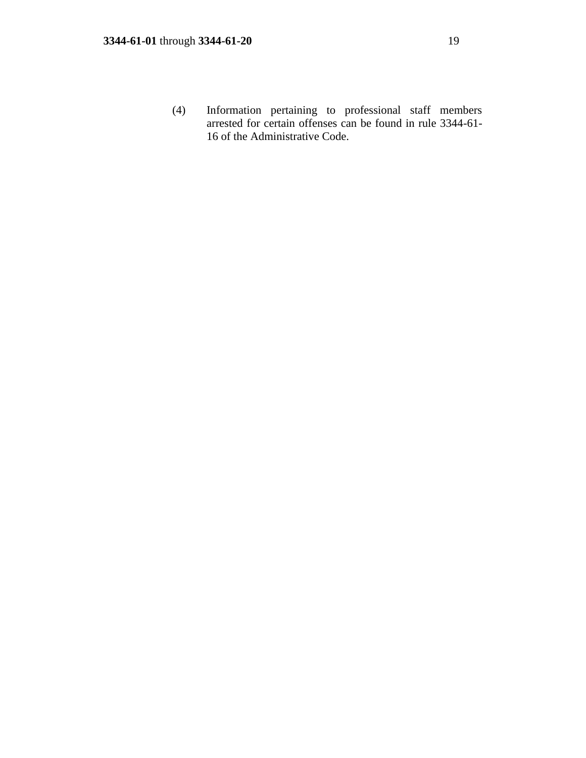(4) Information pertaining to professional staff members arrested for certain offenses can be found in rule 3344-61- 16 of the Administrative Code.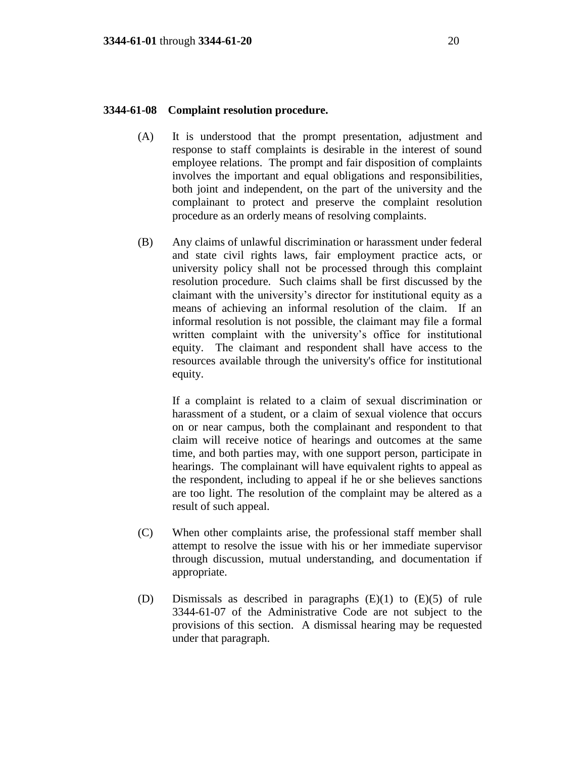### **3344-61-08 Complaint resolution procedure.**

- (A) It is understood that the prompt presentation, adjustment and response to staff complaints is desirable in the interest of sound employee relations. The prompt and fair disposition of complaints involves the important and equal obligations and responsibilities, both joint and independent, on the part of the university and the complainant to protect and preserve the complaint resolution procedure as an orderly means of resolving complaints.
- (B) Any claims of unlawful discrimination or harassment under federal and state civil rights laws, fair employment practice acts, or university policy shall not be processed through this complaint resolution procedure. Such claims shall be first discussed by the claimant with the university's director for institutional equity as a means of achieving an informal resolution of the claim. If an informal resolution is not possible, the claimant may file a formal written complaint with the university's office for institutional equity. The claimant and respondent shall have access to the resources available through the university's office for institutional equity.

If a complaint is related to a claim of sexual discrimination or harassment of a student, or a claim of sexual violence that occurs on or near campus, both the complainant and respondent to that claim will receive notice of hearings and outcomes at the same time, and both parties may, with one support person, participate in hearings. The complainant will have equivalent rights to appeal as the respondent, including to appeal if he or she believes sanctions are too light. The resolution of the complaint may be altered as a result of such appeal.

- (C) When other complaints arise, the professional staff member shall attempt to resolve the issue with his or her immediate supervisor through discussion, mutual understanding, and documentation if appropriate.
- (D) Dismissals as described in paragraphs (E)(1) to (E)(5) of rule 3344-61-07 of the Administrative Code are not subject to the provisions of this section. A dismissal hearing may be requested under that paragraph.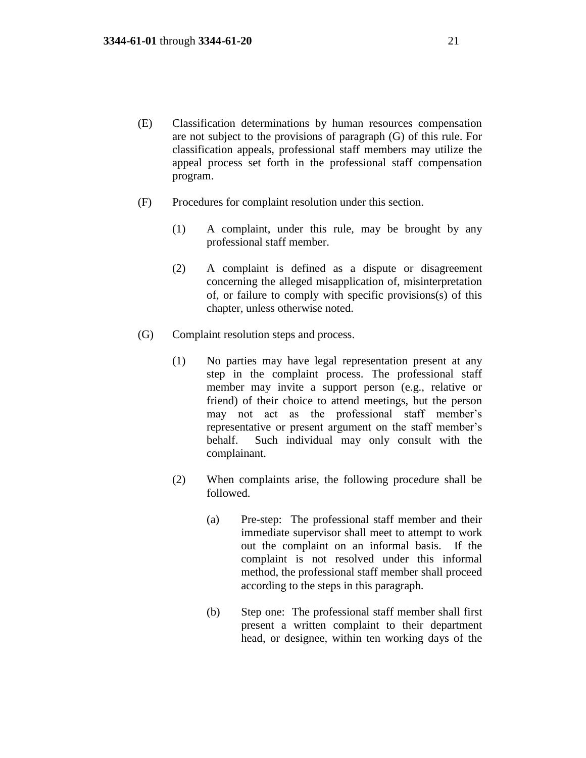- (E) Classification determinations by human resources compensation are not subject to the provisions of paragraph (G) of this rule. For classification appeals, professional staff members may utilize the appeal process set forth in the professional staff compensation program.
- (F) Procedures for complaint resolution under this section.
	- (1) A complaint, under this rule, may be brought by any professional staff member.
	- (2) A complaint is defined as a dispute or disagreement concerning the alleged misapplication of, misinterpretation of, or failure to comply with specific provisions(s) of this chapter, unless otherwise noted.
- (G) Complaint resolution steps and process.
	- (1) No parties may have legal representation present at any step in the complaint process. The professional staff member may invite a support person (e.g., relative or friend) of their choice to attend meetings, but the person may not act as the professional staff member's representative or present argument on the staff member's behalf. Such individual may only consult with the complainant.
	- (2) When complaints arise, the following procedure shall be followed.
		- (a) Pre-step: The professional staff member and their immediate supervisor shall meet to attempt to work out the complaint on an informal basis. If the complaint is not resolved under this informal method, the professional staff member shall proceed according to the steps in this paragraph.
		- (b) Step one: The professional staff member shall first present a written complaint to their department head, or designee, within ten working days of the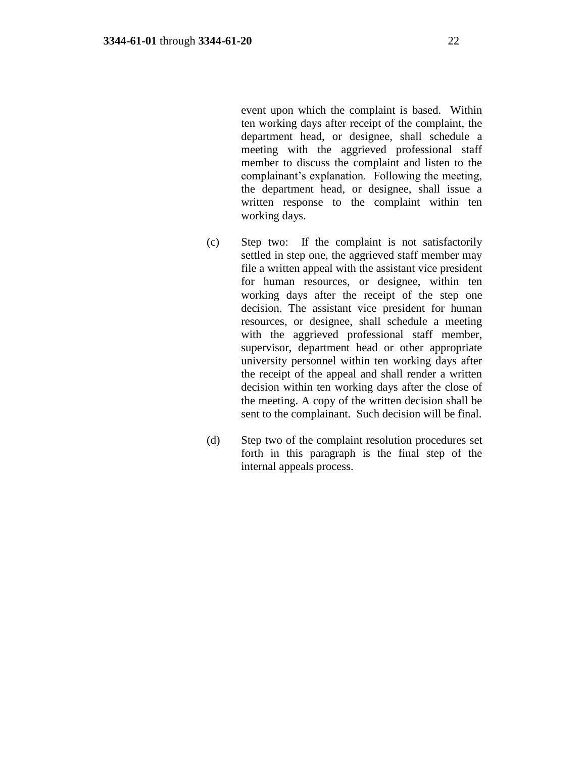event upon which the complaint is based. Within ten working days after receipt of the complaint, the department head, or designee, shall schedule a meeting with the aggrieved professional staff member to discuss the complaint and listen to the complainant's explanation. Following the meeting, the department head, or designee, shall issue a written response to the complaint within ten working days.

- (c) Step two: If the complaint is not satisfactorily settled in step one, the aggrieved staff member may file a written appeal with the assistant vice president for human resources, or designee, within ten working days after the receipt of the step one decision. The assistant vice president for human resources, or designee, shall schedule a meeting with the aggrieved professional staff member, supervisor, department head or other appropriate university personnel within ten working days after the receipt of the appeal and shall render a written decision within ten working days after the close of the meeting. A copy of the written decision shall be sent to the complainant. Such decision will be final.
- (d) Step two of the complaint resolution procedures set forth in this paragraph is the final step of the internal appeals process.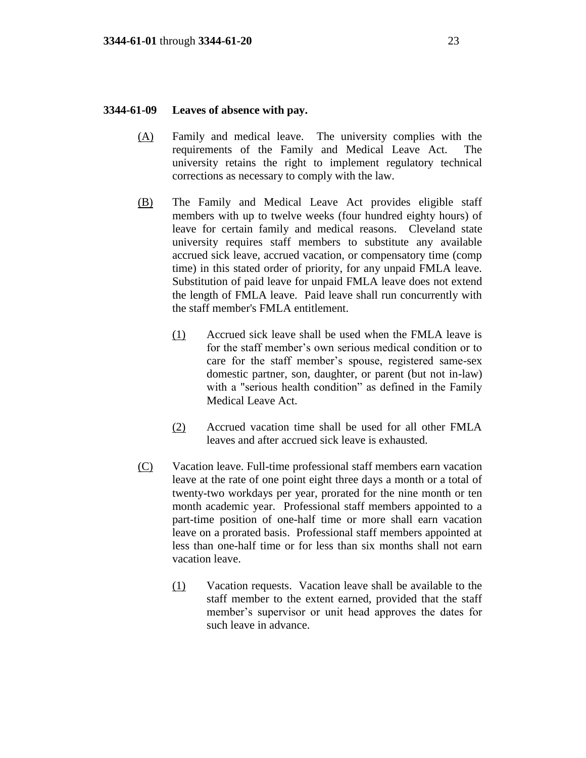#### **3344-61-09 Leaves of absence with pay.**

- (A) Family and medical leave. The university complies with the requirements of the Family and Medical Leave Act. The university retains the right to implement regulatory technical corrections as necessary to comply with the law.
- (B) The Family and Medical Leave Act provides eligible staff members with up to twelve weeks (four hundred eighty hours) of leave for certain family and medical reasons. Cleveland state university requires staff members to substitute any available accrued sick leave, accrued vacation, or compensatory time (comp time) in this stated order of priority, for any unpaid FMLA leave. Substitution of paid leave for unpaid FMLA leave does not extend the length of FMLA leave. Paid leave shall run concurrently with the staff member's FMLA entitlement.
	- (1) Accrued sick leave shall be used when the FMLA leave is for the staff member's own serious medical condition or to care for the staff member's spouse, registered same-sex domestic partner, son, daughter, or parent (but not in-law) with a "serious health condition" as defined in the Family Medical Leave Act.
	- (2) Accrued vacation time shall be used for all other FMLA leaves and after accrued sick leave is exhausted.
- (C) Vacation leave. Full-time professional staff members earn vacation leave at the rate of one point eight three days a month or a total of twenty-two workdays per year, prorated for the nine month or ten month academic year. Professional staff members appointed to a part-time position of one-half time or more shall earn vacation leave on a prorated basis. Professional staff members appointed at less than one-half time or for less than six months shall not earn vacation leave.
	- (1) Vacation requests. Vacation leave shall be available to the staff member to the extent earned, provided that the staff member's supervisor or unit head approves the dates for such leave in advance.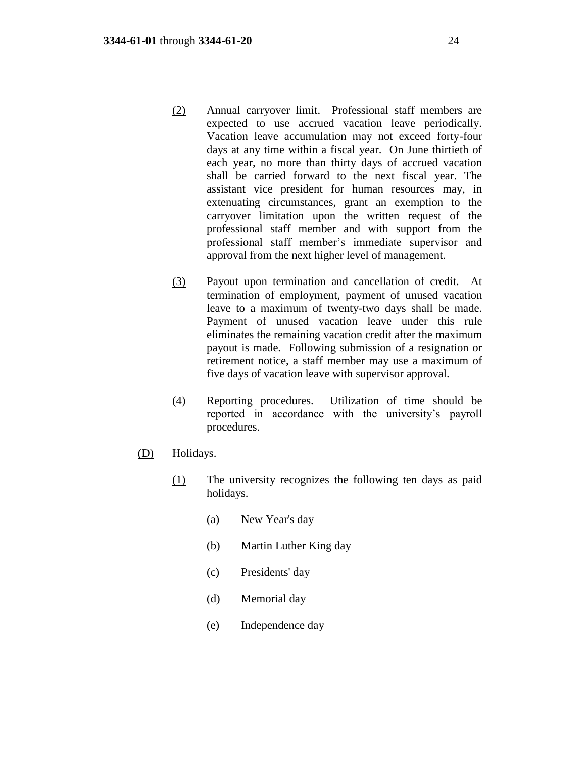- (2) Annual carryover limit. Professional staff members are expected to use accrued vacation leave periodically. Vacation leave accumulation may not exceed forty-four days at any time within a fiscal year. On June thirtieth of each year, no more than thirty days of accrued vacation shall be carried forward to the next fiscal year. The assistant vice president for human resources may, in extenuating circumstances, grant an exemption to the carryover limitation upon the written request of the professional staff member and with support from the professional staff member's immediate supervisor and approval from the next higher level of management.
- (3) Payout upon termination and cancellation of credit. At termination of employment, payment of unused vacation leave to a maximum of twenty-two days shall be made. Payment of unused vacation leave under this rule eliminates the remaining vacation credit after the maximum payout is made. Following submission of a resignation or retirement notice, a staff member may use a maximum of five days of vacation leave with supervisor approval.
- (4) Reporting procedures. Utilization of time should be reported in accordance with the university's payroll procedures.
- (D) Holidays.
	- (1) The university recognizes the following ten days as paid holidays.
		- (a) New Year's day
		- (b) Martin Luther King day
		- (c) Presidents' day
		- (d) Memorial day
		- (e) Independence day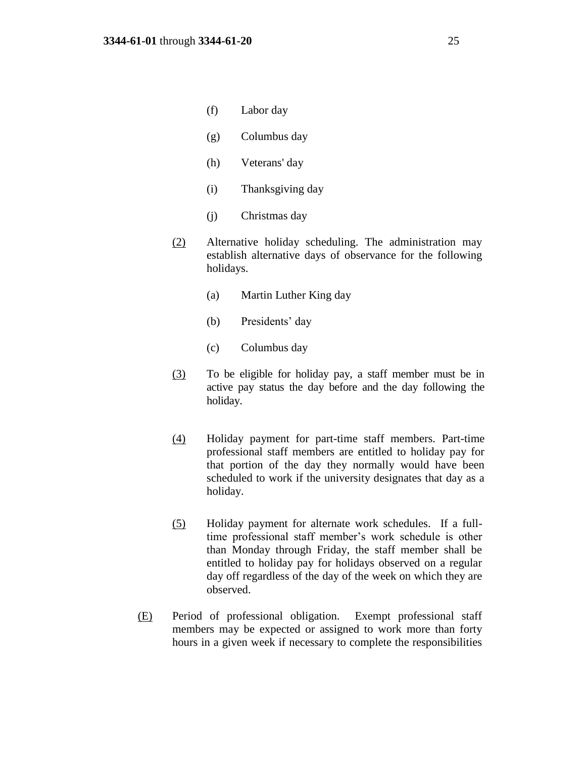- (f) Labor day
- (g) Columbus day
- (h) Veterans' day
- (i) Thanksgiving day
- (j) Christmas day
- (2) Alternative holiday scheduling. The administration may establish alternative days of observance for the following holidays.
	- (a) Martin Luther King day
	- (b) Presidents' day
	- (c) Columbus day
- (3) To be eligible for holiday pay, a staff member must be in active pay status the day before and the day following the holiday.
- (4) Holiday payment for part-time staff members. Part-time professional staff members are entitled to holiday pay for that portion of the day they normally would have been scheduled to work if the university designates that day as a holiday.
- (5) Holiday payment for alternate work schedules. If a fulltime professional staff member's work schedule is other than Monday through Friday, the staff member shall be entitled to holiday pay for holidays observed on a regular day off regardless of the day of the week on which they are observed.
- (E) Period of professional obligation. Exempt professional staff members may be expected or assigned to work more than forty hours in a given week if necessary to complete the responsibilities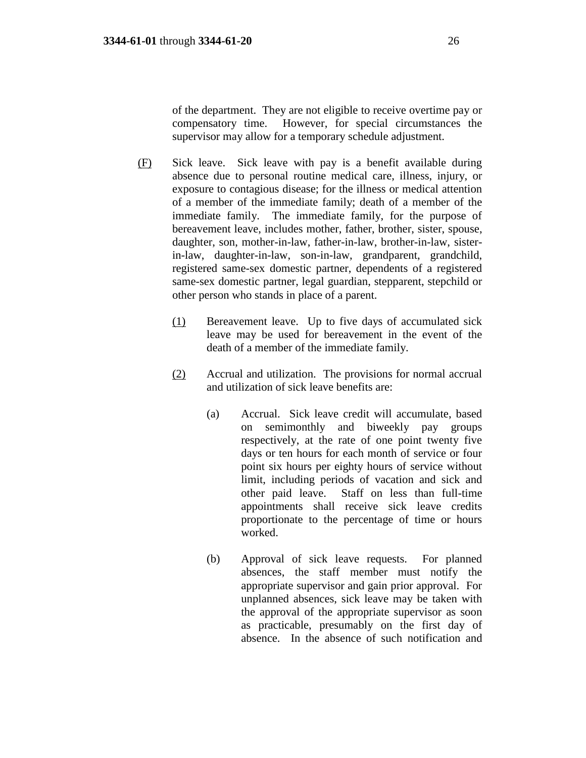of the department. They are not eligible to receive overtime pay or compensatory time. However, for special circumstances the supervisor may allow for a temporary schedule adjustment.

- (F) Sick leave. Sick leave with pay is a benefit available during absence due to personal routine medical care, illness, injury, or exposure to contagious disease; for the illness or medical attention of a member of the immediate family; death of a member of the immediate family. The immediate family, for the purpose of bereavement leave, includes mother, father, brother, sister, spouse, daughter, son, mother-in-law, father-in-law, brother-in-law, sisterin-law, daughter-in-law, son-in-law, grandparent, grandchild, registered same-sex domestic partner, dependents of a registered same-sex domestic partner, legal guardian, stepparent, stepchild or other person who stands in place of a parent.
	- (1) Bereavement leave. Up to five days of accumulated sick leave may be used for bereavement in the event of the death of a member of the immediate family.
	- (2) Accrual and utilization. The provisions for normal accrual and utilization of sick leave benefits are:
		- (a) Accrual. Sick leave credit will accumulate, based on semimonthly and biweekly pay groups respectively, at the rate of one point twenty five days or ten hours for each month of service or four point six hours per eighty hours of service without limit, including periods of vacation and sick and other paid leave. Staff on less than full-time appointments shall receive sick leave credits proportionate to the percentage of time or hours worked.
		- (b) Approval of sick leave requests. For planned absences, the staff member must notify the appropriate supervisor and gain prior approval. For unplanned absences, sick leave may be taken with the approval of the appropriate supervisor as soon as practicable, presumably on the first day of absence. In the absence of such notification and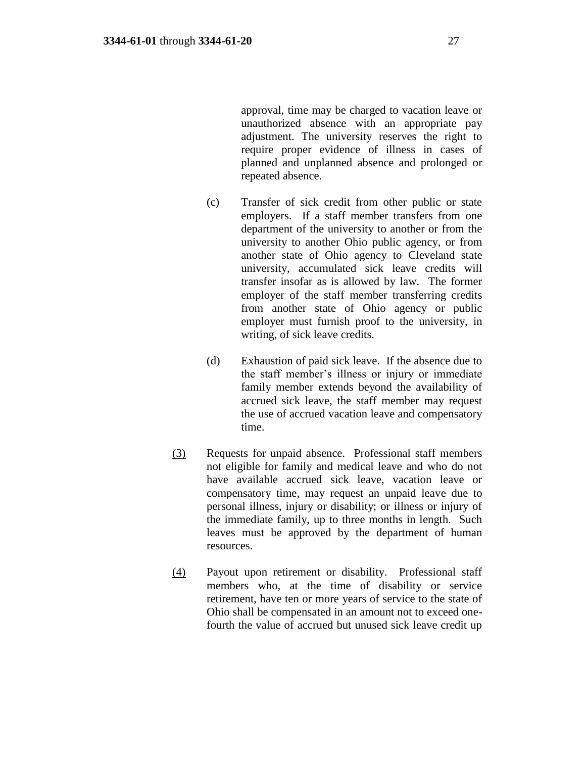approval, time may be charged to vacation leave or unauthorized absence with an appropriate pay adjustment. The university reserves the right to require proper evidence of illness in cases of planned and unplanned absence and prolonged or repeated absence.

- (c) Transfer of sick credit from other public or state employers. If a staff member transfers from one department of the university to another or from the university to another Ohio public agency, or from another state of Ohio agency to Cleveland state university, accumulated sick leave credits will transfer insofar as is allowed by law. The former employer of the staff member transferring credits from another state of Ohio agency or public employer must furnish proof to the university, in writing, of sick leave credits.
- (d) Exhaustion of paid sick leave. If the absence due to the staff member's illness or injury or immediate family member extends beyond the availability of accrued sick leave, the staff member may request the use of accrued vacation leave and compensatory time.
- (3) Requests for unpaid absence. Professional staff members not eligible for family and medical leave and who do not have available accrued sick leave, vacation leave or compensatory time, may request an unpaid leave due to personal illness, injury or disability; or illness or injury of the immediate family, up to three months in length. Such leaves must be approved by the department of human resources.
- (4) Payout upon retirement or disability. Professional staff members who, at the time of disability or service retirement, have ten or more years of service to the state of Ohio shall be compensated in an amount not to exceed onefourth the value of accrued but unused sick leave credit up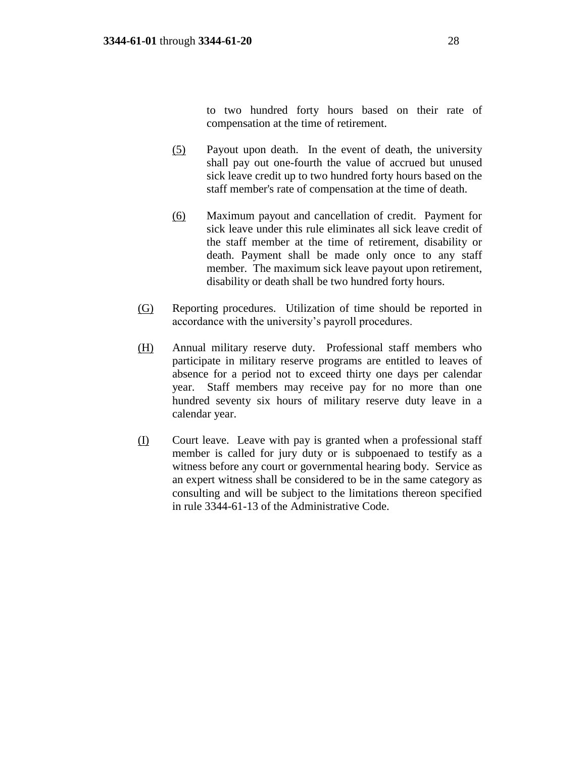to two hundred forty hours based on their rate of compensation at the time of retirement.

- (5) Payout upon death. In the event of death, the university shall pay out one-fourth the value of accrued but unused sick leave credit up to two hundred forty hours based on the staff member's rate of compensation at the time of death.
- (6) Maximum payout and cancellation of credit. Payment for sick leave under this rule eliminates all sick leave credit of the staff member at the time of retirement, disability or death. Payment shall be made only once to any staff member. The maximum sick leave payout upon retirement, disability or death shall be two hundred forty hours.
- (G) Reporting procedures. Utilization of time should be reported in accordance with the university's payroll procedures.
- (H) Annual military reserve duty. Professional staff members who participate in military reserve programs are entitled to leaves of absence for a period not to exceed thirty one days per calendar year. Staff members may receive pay for no more than one hundred seventy six hours of military reserve duty leave in a calendar year.
- (I) Court leave. Leave with pay is granted when a professional staff member is called for jury duty or is subpoenaed to testify as a witness before any court or governmental hearing body. Service as an expert witness shall be considered to be in the same category as consulting and will be subject to the limitations thereon specified in rule 3344-61-13 of the Administrative Code.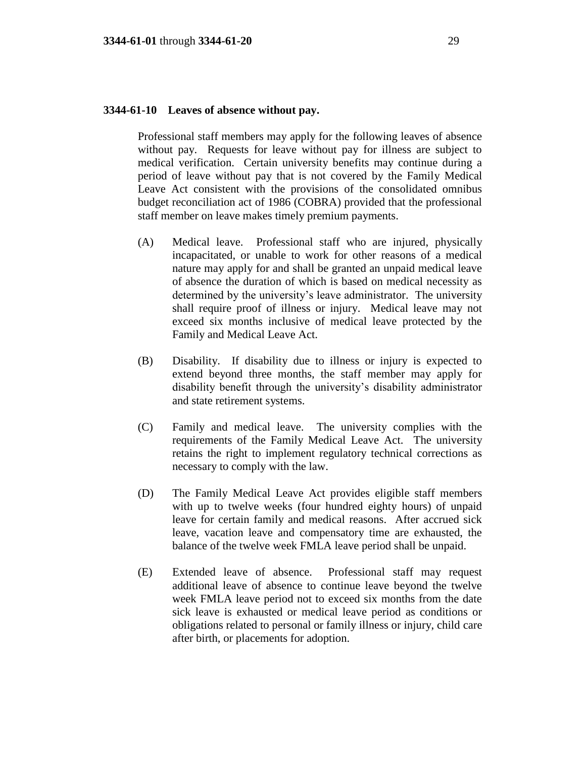#### **3344-61-10 Leaves of absence without pay.**

Professional staff members may apply for the following leaves of absence without pay. Requests for leave without pay for illness are subject to medical verification. Certain university benefits may continue during a period of leave without pay that is not covered by the Family Medical Leave Act consistent with the provisions of the consolidated omnibus budget reconciliation act of 1986 (COBRA) provided that the professional staff member on leave makes timely premium payments.

- (A) Medical leave. Professional staff who are injured, physically incapacitated, or unable to work for other reasons of a medical nature may apply for and shall be granted an unpaid medical leave of absence the duration of which is based on medical necessity as determined by the university's leave administrator. The university shall require proof of illness or injury. Medical leave may not exceed six months inclusive of medical leave protected by the Family and Medical Leave Act.
- (B) Disability. If disability due to illness or injury is expected to extend beyond three months, the staff member may apply for disability benefit through the university's disability administrator and state retirement systems.
- (C) Family and medical leave. The university complies with the requirements of the Family Medical Leave Act. The university retains the right to implement regulatory technical corrections as necessary to comply with the law.
- (D) The Family Medical Leave Act provides eligible staff members with up to twelve weeks (four hundred eighty hours) of unpaid leave for certain family and medical reasons. After accrued sick leave, vacation leave and compensatory time are exhausted, the balance of the twelve week FMLA leave period shall be unpaid.
- (E) Extended leave of absence. Professional staff may request additional leave of absence to continue leave beyond the twelve week FMLA leave period not to exceed six months from the date sick leave is exhausted or medical leave period as conditions or obligations related to personal or family illness or injury, child care after birth, or placements for adoption.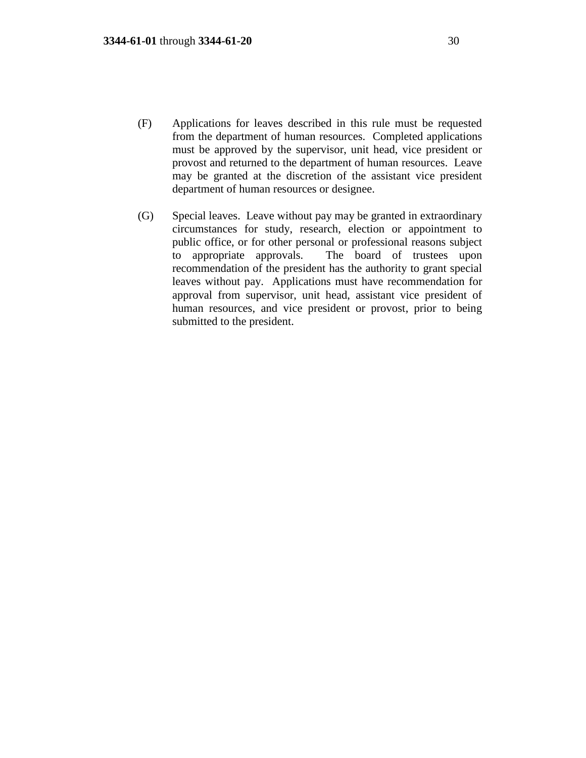- (F) Applications for leaves described in this rule must be requested from the department of human resources. Completed applications must be approved by the supervisor, unit head, vice president or provost and returned to the department of human resources. Leave may be granted at the discretion of the assistant vice president department of human resources or designee.
- (G) Special leaves. Leave without pay may be granted in extraordinary circumstances for study, research, election or appointment to public office, or for other personal or professional reasons subject to appropriate approvals. The board of trustees upon recommendation of the president has the authority to grant special leaves without pay. Applications must have recommendation for approval from supervisor, unit head, assistant vice president of human resources, and vice president or provost, prior to being submitted to the president.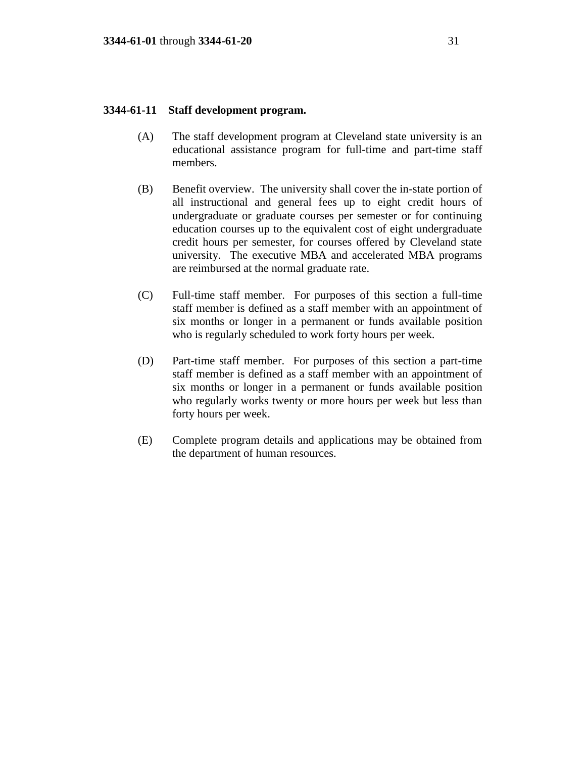### **3344-61-11 Staff development program.**

- (A) The staff development program at Cleveland state university is an educational assistance program for full-time and part-time staff members.
- (B) Benefit overview. The university shall cover the in-state portion of all instructional and general fees up to eight credit hours of undergraduate or graduate courses per semester or for continuing education courses up to the equivalent cost of eight undergraduate credit hours per semester, for courses offered by Cleveland state university. The executive MBA and accelerated MBA programs are reimbursed at the normal graduate rate.
- (C) Full-time staff member. For purposes of this section a full-time staff member is defined as a staff member with an appointment of six months or longer in a permanent or funds available position who is regularly scheduled to work forty hours per week.
- (D) Part-time staff member. For purposes of this section a part-time staff member is defined as a staff member with an appointment of six months or longer in a permanent or funds available position who regularly works twenty or more hours per week but less than forty hours per week.
- (E) Complete program details and applications may be obtained from the department of human resources.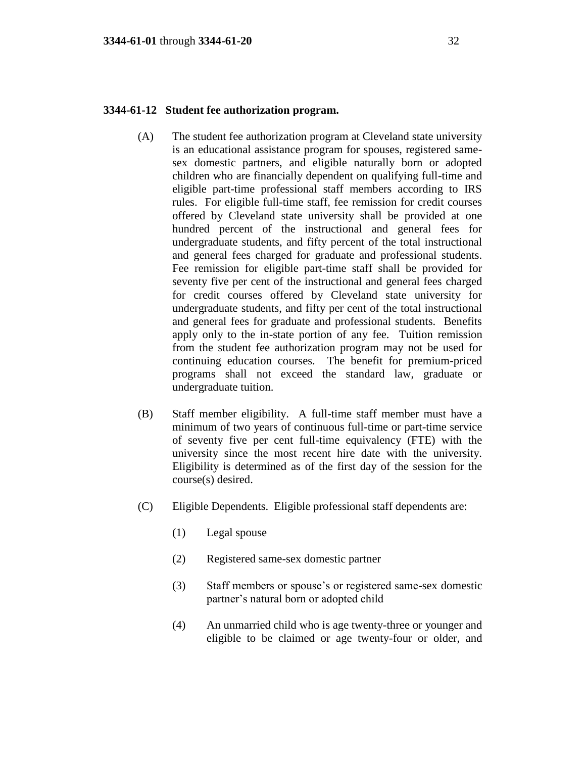## **3344-61-12 Student fee authorization program.**

- (A) The student fee authorization program at Cleveland state university is an educational assistance program for spouses, registered samesex domestic partners, and eligible naturally born or adopted children who are financially dependent on qualifying full-time and eligible part-time professional staff members according to IRS rules. For eligible full-time staff, fee remission for credit courses offered by Cleveland state university shall be provided at one hundred percent of the instructional and general fees for undergraduate students, and fifty percent of the total instructional and general fees charged for graduate and professional students. Fee remission for eligible part-time staff shall be provided for seventy five per cent of the instructional and general fees charged for credit courses offered by Cleveland state university for undergraduate students, and fifty per cent of the total instructional and general fees for graduate and professional students. Benefits apply only to the in-state portion of any fee. Tuition remission from the student fee authorization program may not be used for continuing education courses. The benefit for premium-priced programs shall not exceed the standard law, graduate or undergraduate tuition.
- (B) Staff member eligibility. A full-time staff member must have a minimum of two years of continuous full-time or part-time service of seventy five per cent full-time equivalency (FTE) with the university since the most recent hire date with the university. Eligibility is determined as of the first day of the session for the course(s) desired.
- (C) Eligible Dependents. Eligible professional staff dependents are:
	- (1) Legal spouse
	- (2) Registered same-sex domestic partner
	- (3) Staff members or spouse's or registered same-sex domestic partner's natural born or adopted child
	- (4) An unmarried child who is age twenty-three or younger and eligible to be claimed or age twenty-four or older, and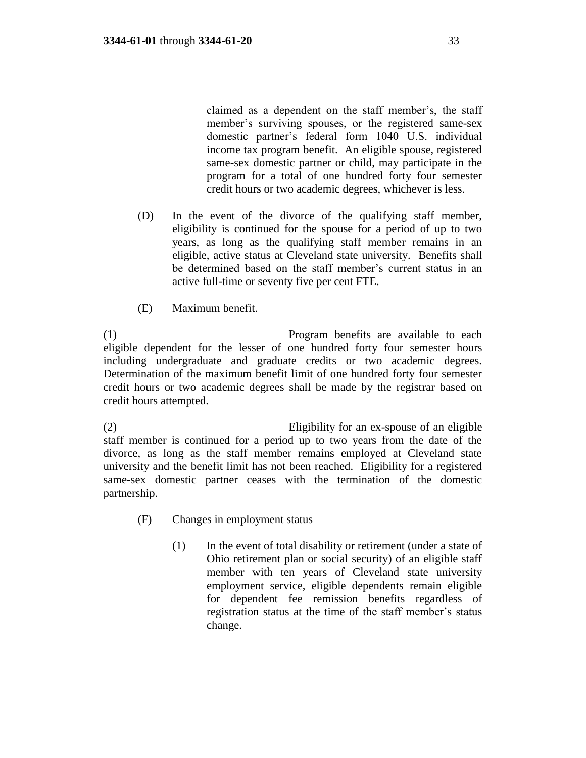claimed as a dependent on the staff member's, the staff member's surviving spouses, or the registered same-sex domestic partner's federal form 1040 U.S. individual income tax program benefit. An eligible spouse, registered same-sex domestic partner or child, may participate in the program for a total of one hundred forty four semester credit hours or two academic degrees, whichever is less.

- (D) In the event of the divorce of the qualifying staff member, eligibility is continued for the spouse for a period of up to two years, as long as the qualifying staff member remains in an eligible, active status at Cleveland state university. Benefits shall be determined based on the staff member's current status in an active full-time or seventy five per cent FTE.
- (E) Maximum benefit.

(1) Program benefits are available to each eligible dependent for the lesser of one hundred forty four semester hours including undergraduate and graduate credits or two academic degrees. Determination of the maximum benefit limit of one hundred forty four semester credit hours or two academic degrees shall be made by the registrar based on credit hours attempted.

(2) Eligibility for an ex-spouse of an eligible staff member is continued for a period up to two years from the date of the divorce, as long as the staff member remains employed at Cleveland state university and the benefit limit has not been reached. Eligibility for a registered same-sex domestic partner ceases with the termination of the domestic partnership.

- (F) Changes in employment status
	- (1) In the event of total disability or retirement (under a state of Ohio retirement plan or social security) of an eligible staff member with ten years of Cleveland state university employment service, eligible dependents remain eligible for dependent fee remission benefits regardless of registration status at the time of the staff member's status change.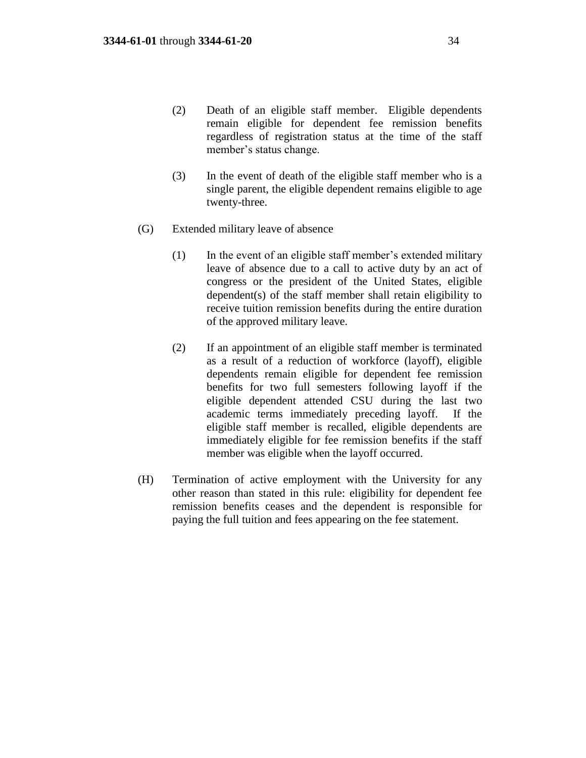- (2) Death of an eligible staff member. Eligible dependents remain eligible for dependent fee remission benefits regardless of registration status at the time of the staff member's status change.
- (3) In the event of death of the eligible staff member who is a single parent, the eligible dependent remains eligible to age twenty-three.
- (G) Extended military leave of absence
	- (1) In the event of an eligible staff member's extended military leave of absence due to a call to active duty by an act of congress or the president of the United States, eligible dependent(s) of the staff member shall retain eligibility to receive tuition remission benefits during the entire duration of the approved military leave.
	- (2) If an appointment of an eligible staff member is terminated as a result of a reduction of workforce (layoff), eligible dependents remain eligible for dependent fee remission benefits for two full semesters following layoff if the eligible dependent attended CSU during the last two academic terms immediately preceding layoff. If the eligible staff member is recalled, eligible dependents are immediately eligible for fee remission benefits if the staff member was eligible when the layoff occurred.
- (H) Termination of active employment with the University for any other reason than stated in this rule: eligibility for dependent fee remission benefits ceases and the dependent is responsible for paying the full tuition and fees appearing on the fee statement.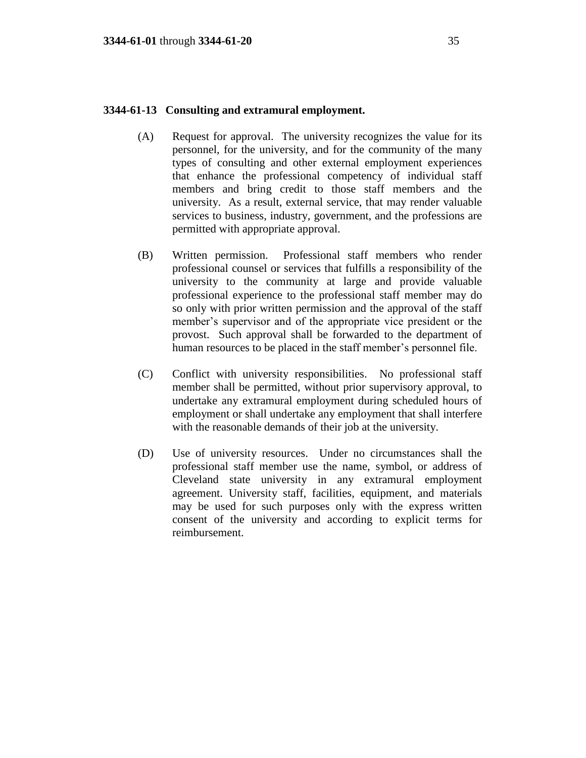## **3344-61-13 Consulting and extramural employment.**

- (A) Request for approval. The university recognizes the value for its personnel, for the university, and for the community of the many types of consulting and other external employment experiences that enhance the professional competency of individual staff members and bring credit to those staff members and the university. As a result, external service, that may render valuable services to business, industry, government, and the professions are permitted with appropriate approval.
- (B) Written permission. Professional staff members who render professional counsel or services that fulfills a responsibility of the university to the community at large and provide valuable professional experience to the professional staff member may do so only with prior written permission and the approval of the staff member's supervisor and of the appropriate vice president or the provost. Such approval shall be forwarded to the department of human resources to be placed in the staff member's personnel file.
- (C) Conflict with university responsibilities. No professional staff member shall be permitted, without prior supervisory approval, to undertake any extramural employment during scheduled hours of employment or shall undertake any employment that shall interfere with the reasonable demands of their job at the university.
- (D) Use of university resources. Under no circumstances shall the professional staff member use the name, symbol, or address of Cleveland state university in any extramural employment agreement. University staff, facilities, equipment, and materials may be used for such purposes only with the express written consent of the university and according to explicit terms for reimbursement.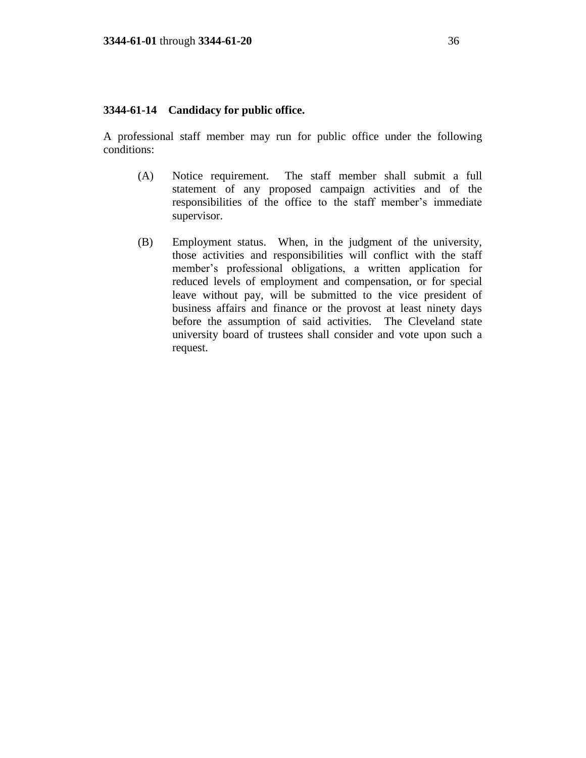## **3344-61-14 Candidacy for public office.**

A professional staff member may run for public office under the following conditions:

- (A) Notice requirement. The staff member shall submit a full statement of any proposed campaign activities and of the responsibilities of the office to the staff member's immediate supervisor.
- (B) Employment status. When, in the judgment of the university, those activities and responsibilities will conflict with the staff member's professional obligations, a written application for reduced levels of employment and compensation, or for special leave without pay, will be submitted to the vice president of business affairs and finance or the provost at least ninety days before the assumption of said activities. The Cleveland state university board of trustees shall consider and vote upon such a request.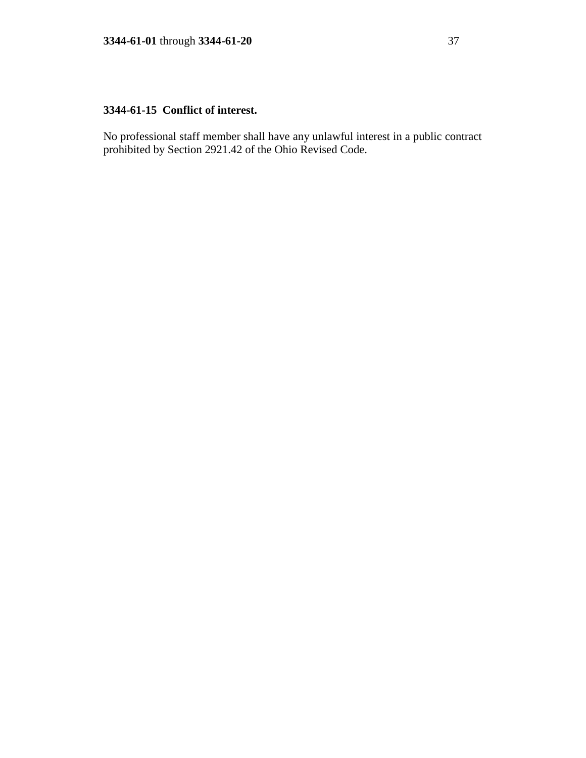# **3344-61-15 Conflict of interest.**

No professional staff member shall have any unlawful interest in a public contract prohibited by Section 2921.42 of the Ohio Revised Code.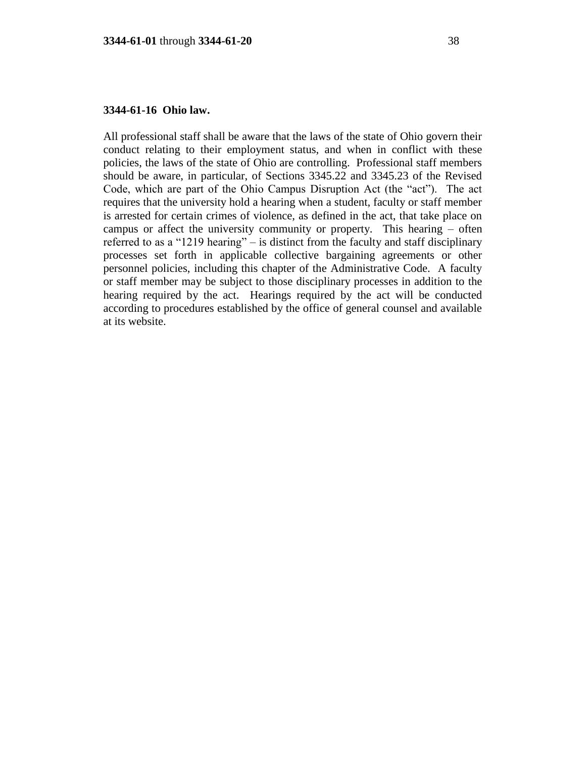## **3344-61-16 Ohio law.**

All professional staff shall be aware that the laws of the state of Ohio govern their conduct relating to their employment status, and when in conflict with these policies, the laws of the state of Ohio are controlling. Professional staff members should be aware, in particular, of Sections 3345.22 and 3345.23 of the Revised Code, which are part of the Ohio Campus Disruption Act (the "act"). The act requires that the university hold a hearing when a student, faculty or staff member is arrested for certain crimes of violence, as defined in the act, that take place on campus or affect the university community or property. This hearing – often referred to as a "1219 hearing" – is distinct from the faculty and staff disciplinary processes set forth in applicable collective bargaining agreements or other personnel policies, including this chapter of the Administrative Code. A faculty or staff member may be subject to those disciplinary processes in addition to the hearing required by the act. Hearings required by the act will be conducted according to procedures established by the office of general counsel and available at its website.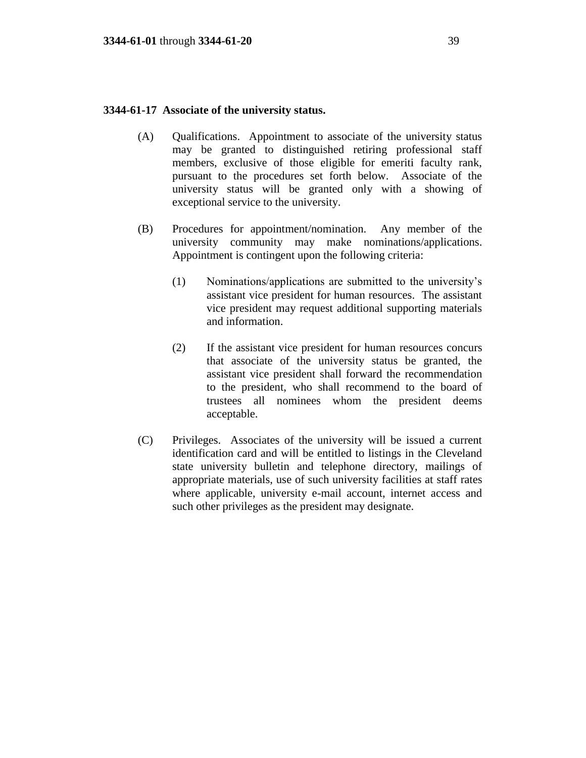### **3344-61-17 Associate of the university status.**

- (A) Qualifications. Appointment to associate of the university status may be granted to distinguished retiring professional staff members, exclusive of those eligible for emeriti faculty rank, pursuant to the procedures set forth below. Associate of the university status will be granted only with a showing of exceptional service to the university.
- (B) Procedures for appointment/nomination. Any member of the university community may make nominations/applications. Appointment is contingent upon the following criteria:
	- (1) Nominations/applications are submitted to the university's assistant vice president for human resources. The assistant vice president may request additional supporting materials and information.
	- (2) If the assistant vice president for human resources concurs that associate of the university status be granted, the assistant vice president shall forward the recommendation to the president, who shall recommend to the board of trustees all nominees whom the president deems acceptable.
- (C) Privileges. Associates of the university will be issued a current identification card and will be entitled to listings in the Cleveland state university bulletin and telephone directory, mailings of appropriate materials, use of such university facilities at staff rates where applicable, university e-mail account, internet access and such other privileges as the president may designate.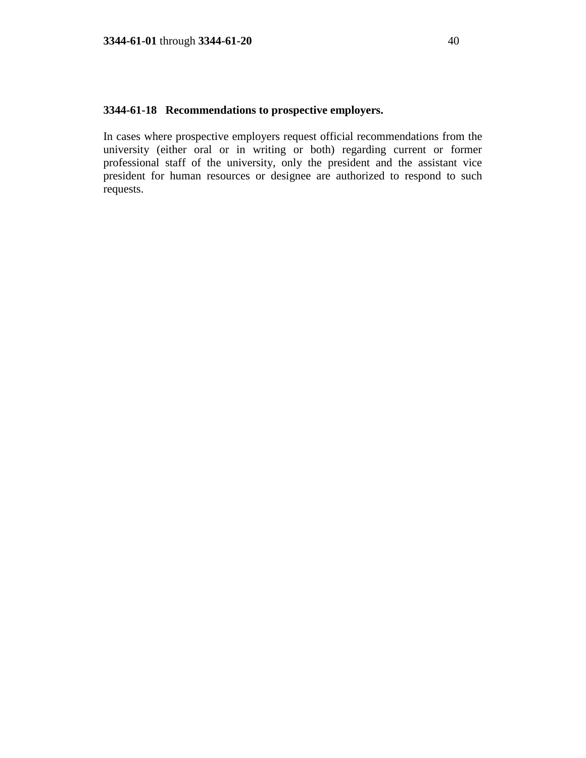# **3344-61-18 Recommendations to prospective employers.**

In cases where prospective employers request official recommendations from the university (either oral or in writing or both) regarding current or former professional staff of the university, only the president and the assistant vice president for human resources or designee are authorized to respond to such requests.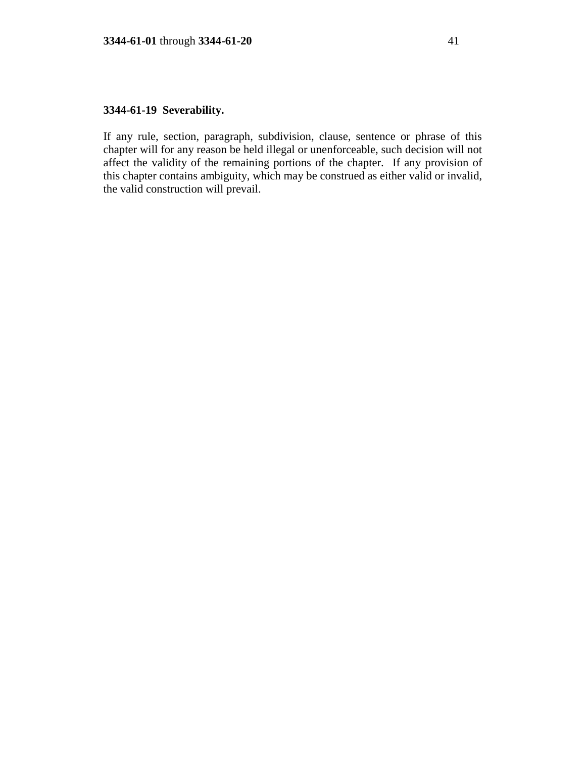# **3344-61-19 Severability.**

If any rule, section, paragraph, subdivision, clause, sentence or phrase of this chapter will for any reason be held illegal or unenforceable, such decision will not affect the validity of the remaining portions of the chapter. If any provision of this chapter contains ambiguity, which may be construed as either valid or invalid, the valid construction will prevail.